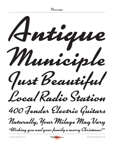Kinescope

Municiple Antique Naturally, Your Milage May Vary 400 Fender Electric Guitars Local Radio Station Just Beautiful "Wishing you and your family a merry Christmas!"

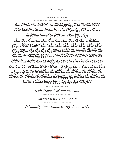Kinescope

## THE COMPLETE CHARACTER SET

LATIN CAPITALS AND LOWERCASE (INCLUDING CONTEXTUAL ALTERNATES)

Aaa BBbb CCcc DDdd EEee Fff fifi flfl Ggg Hhh 91ii 91jj KKkk LLU MMMm Mmm MMMn Nnn Ooo PPpp Qqq RRvvr x Ssss s TH UUUu Uuu VVoo WWww XXxx YYyy 333 Ááá Áàà Âââ Äää Âãã Âåå Áăă Áāā Aaa ÆÆææ ÆÆéeé CCcc DDdd'DDdd É Céé È Céé É Cêë E Cèë É Céé É Céé É Céé EEee Mhyy Gğğ Gğĝ Gğg Göz Hittit Hitlih Îli Îli Îlî Îlii Îlii Îlii Îli Îlu Îlii Îlîî ÎYÎ ÎSKKKE ne LLH LLÚ LLLI LLU LI WÎÑÑ Ñ Ú ŃŃ Ńm ŇŇŇň Ňňň hn ŅŅŅn Ņn Óóó Òòò Ôôô Ööö Õõõ Øøø Ööö Ööö Ōōō Óøø ŒŒœœ ŔŔń ń ŘŘňřř ň RRnn n Šššš š Šśśś ś Şzzz z Šâôŝ â Şaşş ş fif F<del>u</del> Tit <u>Ju Ú</u>ÚÚúú Úú ÚÚÚùù Ùù ÚÛÚûû Ûû ŰÜÜÜüü Üü ŴŴŵŵ ÝÝýý ŸŸÿÿ ŶŶŷŷ Żžž Źźź Żzz ĐĐď Bpp

**FIGURES, FRACTIONS, SUPERSCRIPT** 

1234567890 1/21/43/4 1234567890/1234567890

CURRENCY AND FIGURE-RELATED CHARACTERS

PUNCTUATION AND MISCELLANEOUS CHARACTERS

{ [(....,:;!?;;&'''''",,,«»<>@\*t#\$q\\|---\_..)] }